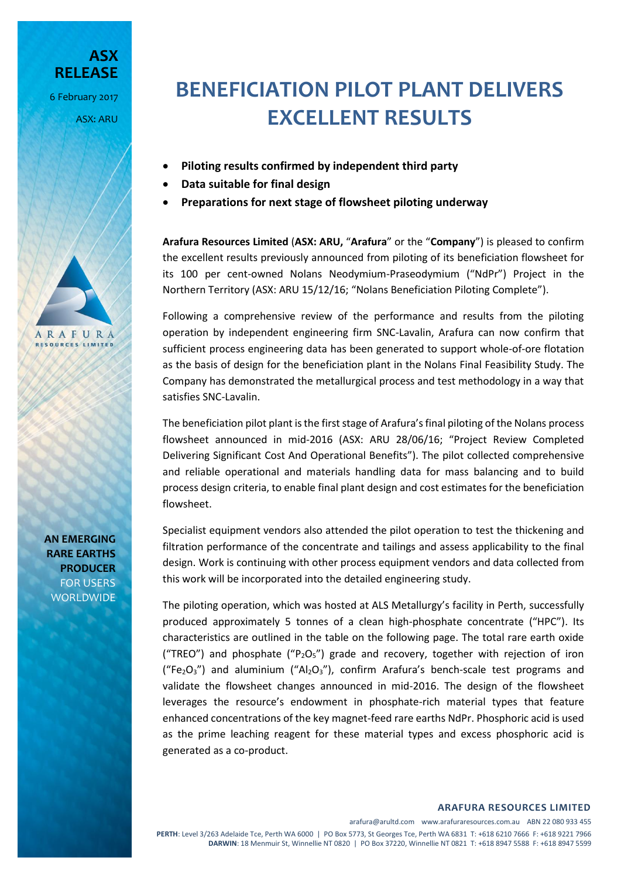**ASX RELEASE** 6 February 2017 ASX: ARU

# **BENEFICIATION PILOT PLANT DELIVERS EXCELLENT RESULTS**

- **Piloting results confirmed by independent third party**
- **Data suitable for final design**
- **Preparations for next stage of flowsheet piloting underway**

**Arafura Resources Limited** (**ASX: ARU,** "**Arafura**" or the "**Company**") is pleased to confirm the excellent results previously announced from piloting of its beneficiation flowsheet for its 100 per cent-owned Nolans Neodymium-Praseodymium ("NdPr") Project in the Northern Territory (ASX: ARU 15/12/16; "Nolans Beneficiation Piloting Complete").

Following a comprehensive review of the performance and results from the piloting operation by independent engineering firm SNC-Lavalin, Arafura can now confirm that sufficient process engineering data has been generated to support whole-of-ore flotation as the basis of design for the beneficiation plant in the Nolans Final Feasibility Study. The Company has demonstrated the metallurgical process and test methodology in a way that satisfies SNC-Lavalin.

The beneficiation pilot plant is the first stage of Arafura's final piloting of the Nolans process flowsheet announced in mid-2016 (ASX: ARU 28/06/16; "Project Review Completed Delivering Significant Cost And Operational Benefits"). The pilot collected comprehensive and reliable operational and materials handling data for mass balancing and to build process design criteria, to enable final plant design and cost estimates for the beneficiation flowsheet.

Specialist equipment vendors also attended the pilot operation to test the thickening and filtration performance of the concentrate and tailings and assess applicability to the final design. Work is continuing with other process equipment vendors and data collected from this work will be incorporated into the detailed engineering study.

The piloting operation, which was hosted at ALS Metallurgy's facility in Perth, successfully produced approximately 5 tonnes of a clean high-phosphate concentrate ("HPC"). Its characteristics are outlined in the table on the following page. The total rare earth oxide ("TREO") and phosphate ("P<sub>2</sub>O<sub>5</sub>") grade and recovery, together with rejection of iron ("Fe<sub>2</sub>O<sub>3</sub>") and aluminium ("Al<sub>2</sub>O<sub>3</sub>"), confirm Arafura's bench-scale test programs and validate the flowsheet changes announced in mid-2016. The design of the flowsheet leverages the resource's endowment in phosphate-rich material types that feature enhanced concentrations of the key magnet-feed rare earths NdPr. Phosphoric acid is used as the prime leaching reagent for these material types and excess phosphoric acid is generated as a co-product.

# **AN EMERGING RARE EARTHS PRODUCER** FOR USERS WORLDWIDE

ARAFURA **RESOURCES LIMITED**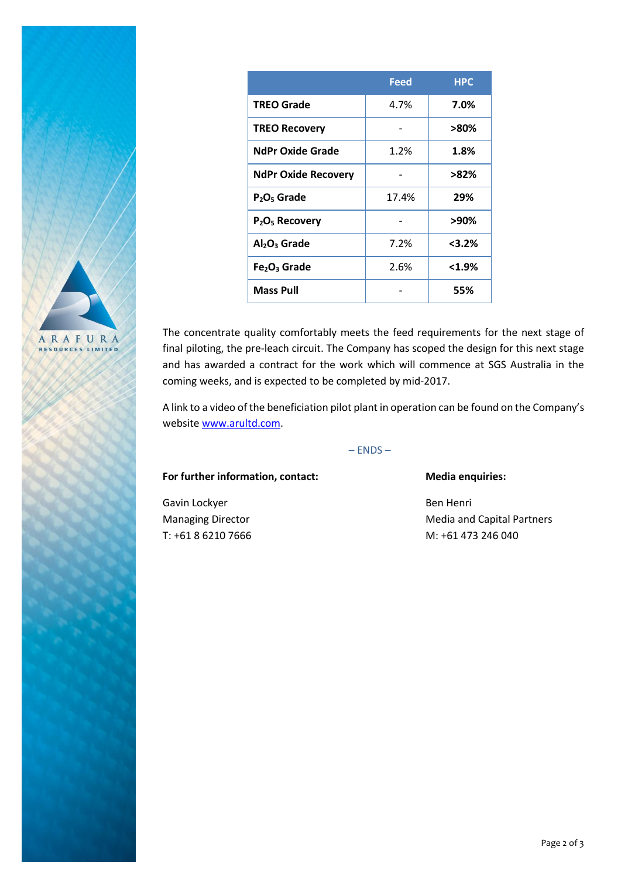|                                      | <b>Feed</b> | <b>HPC</b> |
|--------------------------------------|-------------|------------|
| <b>TREO Grade</b>                    | 4.7%        | 7.0%       |
| <b>TREO Recovery</b>                 |             | >80%       |
| <b>NdPr Oxide Grade</b>              | 1.2%        | 1.8%       |
| <b>NdPr Oxide Recovery</b>           |             | >82%       |
| $P2O5$ Grade                         | 17.4%       | 29%        |
| $P_2O_5$ Recovery                    |             | >90%       |
| Al <sub>2</sub> O <sub>3</sub> Grade | 7.2%        | $<$ 3.2%   |
| Fe <sub>2</sub> O <sub>3</sub> Grade | 2.6%        | $< 1.9\%$  |
| <b>Mass Pull</b>                     |             | 55%        |

ARAFURA RESOURCES LIMITED

The concentrate quality comfortably meets the feed requirements for the next stage of final piloting, the pre-leach circuit. The Company has scoped the design for this next stage and has awarded a contract for the work which will commence at SGS Australia in the coming weeks, and is expected to be completed by mid-2017.

A link to a video of the beneficiation pilot plant in operation can be found on the Company's website [www.arultd.com.](http://www.arultd.com/)

# $-$  ENDS  $-$

### For further information, contact: Media enquiries:

Gavin Lockyer **Ben Henri** Ben Henri

Managing Director **Media and Capital Partners** Media and Capital Partners T: +61 8 6210 7666 M: +61 473 246 040